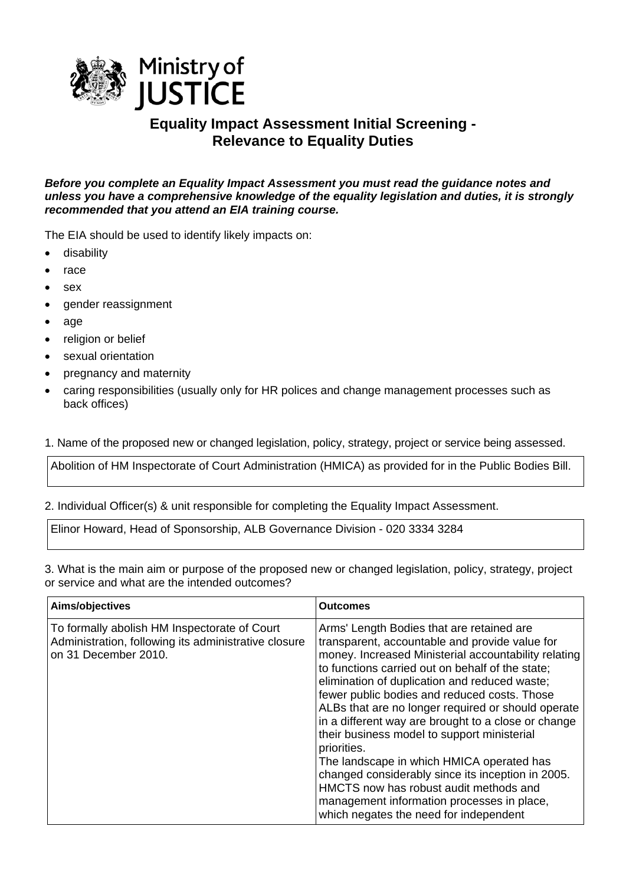

## **Equality Impact Assessment Initial Screening - Relevance to Equality Duties**

*Before you complete an Equality Impact Assessment you must read the guidance notes and unless you have a comprehensive knowledge of the equality legislation and duties, it is strongly recommended that you attend an EIA training course.* 

The EIA should be used to identify likely impacts on:

- disability
- race
- sex
- gender reassignment
- age
- religion or belief
- sexual orientation
- pregnancy and maternity
- caring responsibilities (usually only for HR polices and change management processes such as back offices)

1. Name of the proposed new or changed legislation, policy, strategy, project or service being assessed.

Abolition of HM Inspectorate of Court Administration (HMICA) as provided for in the Public Bodies Bill.

2. Individual Officer(s) & unit responsible for completing the Equality Impact Assessment.

Elinor Howard, Head of Sponsorship, ALB Governance Division - 020 3334 3284

3. What is the main aim or purpose of the proposed new or changed legislation, policy, strategy, project or service and what are the intended outcomes?

| Aims/objectives                                                                                                              | <b>Outcomes</b>                                                                                                                                                                                                                                                                                                                                                                                                                                                                                                                                                                                                                                                                                                         |
|------------------------------------------------------------------------------------------------------------------------------|-------------------------------------------------------------------------------------------------------------------------------------------------------------------------------------------------------------------------------------------------------------------------------------------------------------------------------------------------------------------------------------------------------------------------------------------------------------------------------------------------------------------------------------------------------------------------------------------------------------------------------------------------------------------------------------------------------------------------|
| To formally abolish HM Inspectorate of Court<br>Administration, following its administrative closure<br>on 31 December 2010. | Arms' Length Bodies that are retained are<br>transparent, accountable and provide value for<br>money. Increased Ministerial accountability relating<br>to functions carried out on behalf of the state;<br>elimination of duplication and reduced waste;<br>fewer public bodies and reduced costs. Those<br>ALBs that are no longer required or should operate<br>in a different way are brought to a close or change<br>their business model to support ministerial<br>priorities.<br>The landscape in which HMICA operated has<br>changed considerably since its inception in 2005.<br>HMCTS now has robust audit methods and<br>management information processes in place,<br>which negates the need for independent |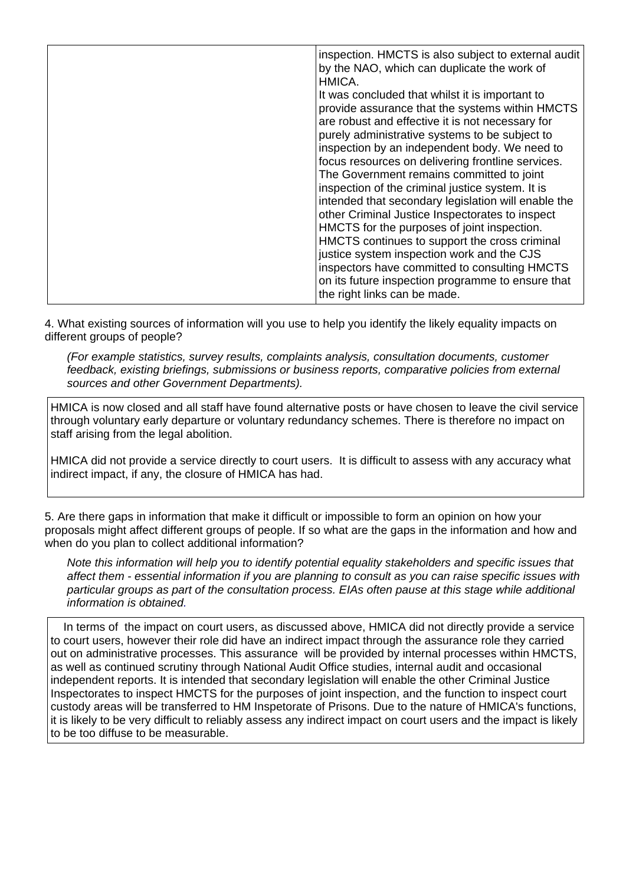| inspection. HMCTS is also subject to external audit<br>by the NAO, which can duplicate the work of<br>HMICA. |
|--------------------------------------------------------------------------------------------------------------|
| It was concluded that whilst it is important to                                                              |
| provide assurance that the systems within HMCTS<br>are robust and effective it is not necessary for          |
| purely administrative systems to be subject to                                                               |
| inspection by an independent body. We need to                                                                |
| focus resources on delivering frontline services.                                                            |
| The Government remains committed to joint                                                                    |
| inspection of the criminal justice system. It is                                                             |
| intended that secondary legislation will enable the                                                          |
| other Criminal Justice Inspectorates to inspect                                                              |
| HMCTS for the purposes of joint inspection.                                                                  |
| HMCTS continues to support the cross criminal                                                                |
| justice system inspection work and the CJS                                                                   |
| inspectors have committed to consulting HMCTS                                                                |
| on its future inspection programme to ensure that                                                            |
| the right links can be made.                                                                                 |
|                                                                                                              |

4. What existing sources of information will you use to help you identify the likely equality impacts on different groups of people?

*(For example statistics, survey results, complaints analysis, consultation documents, customer feedback, existing briefings, submissions or business reports, comparative policies from external sources and other Government Departments).* 

HMICA is now closed and all staff have found alternative posts or have chosen to leave the civil service through voluntary early departure or voluntary redundancy schemes. There is therefore no impact on staff arising from the legal abolition.

HMICA did not provide a service directly to court users. It is difficult to assess with any accuracy what indirect impact, if any, the closure of HMICA has had.

5. Are there gaps in information that make it difficult or impossible to form an opinion on how your proposals might affect different groups of people. If so what are the gaps in the information and how and when do you plan to collect additional information?

*Note this information will help you to identify potential equality stakeholders and specific issues that affect them - essential information if you are planning to consult as you can raise specific issues with particular groups as part of the consultation process. EIAs often pause at this stage while additional information is obtained.*

 In terms of the impact on court users, as discussed above, HMICA did not directly provide a service to court users, however their role did have an indirect impact through the assurance role they carried out on administrative processes. This assurance will be provided by internal processes within HMCTS, as well as continued scrutiny through National Audit Office studies, internal audit and occasional independent reports. It is intended that secondary legislation will enable the other Criminal Justice Inspectorates to inspect HMCTS for the purposes of joint inspection, and the function to inspect court custody areas will be transferred to HM Inspetorate of Prisons. Due to the nature of HMICA's functions, it is likely to be very difficult to reliably assess any indirect impact on court users and the impact is likely to be too diffuse to be measurable.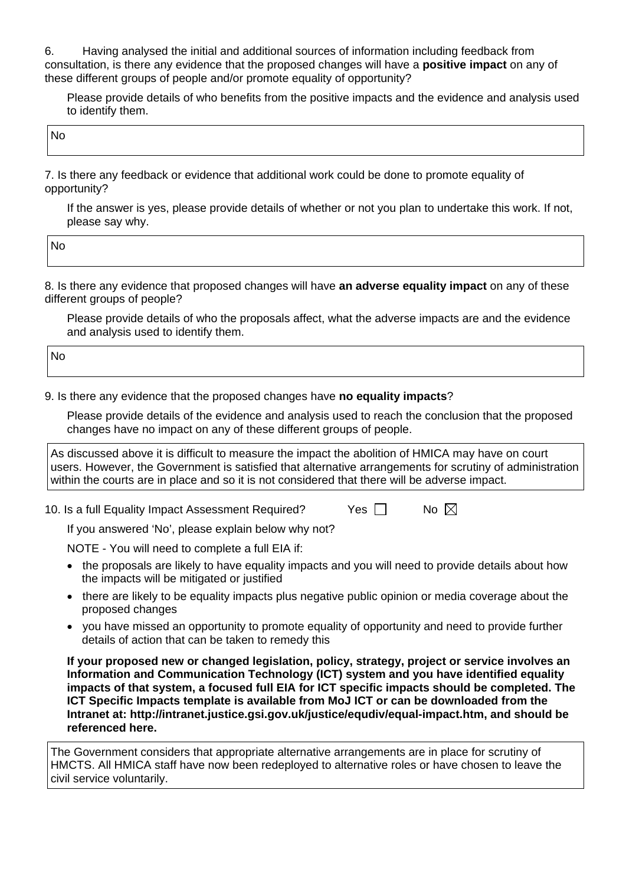6. Having analysed the initial and additional sources of information including feedback from consultation, is there any evidence that the proposed changes will have a **positive impact** on any of these different groups of people and/or promote equality of opportunity?

Please provide details of who benefits from the positive impacts and the evidence and analysis used to identify them.

No

7. Is there any feedback or evidence that additional work could be done to promote equality of opportunity?

If the answer is yes, please provide details of whether or not you plan to undertake this work. If not, please say why.

No

8. Is there any evidence that proposed changes will have **an adverse equality impact** on any of these different groups of people?

Please provide details of who the proposals affect, what the adverse impacts are and the evidence and analysis used to identify them.

No

9. Is there any evidence that the proposed changes have **no equality impacts**?

Please provide details of the evidence and analysis used to reach the conclusion that the proposed changes have no impact on any of these different groups of people.

As discussed above it is difficult to measure the impact the abolition of HMICA may have on court users. However, the Government is satisfied that alternative arrangements for scrutiny of administration within the courts are in place and so it is not considered that there will be adverse impact.

10. Is a full Equality Impact Assessment Required?  $\Box$  Yes  $\Box$  No  $\boxtimes$ 

If you answered 'No', please explain below why not?

NOTE - You will need to complete a full EIA if:

- the proposals are likely to have equality impacts and you will need to provide details about how the impacts will be mitigated or justified
- there are likely to be equality impacts plus negative public opinion or media coverage about the proposed changes
- you have missed an opportunity to promote equality of opportunity and need to provide further details of action that can be taken to remedy this

**If your proposed new or changed legislation, policy, strategy, project or service involves an Information and Communication Technology (ICT) system and you have identified equality impacts of that system, a focused full EIA for ICT specific impacts should be completed. The ICT Specific Impacts template is available from MoJ ICT or can be downloaded from the Intranet at: <http://intranet.justice.gsi.gov.uk/justice/equdiv/equal-impact.htm>, and should be referenced here.** 

The Government considers that appropriate alternative arrangements are in place for scrutiny of HMCTS. All HMICA staff have now been redeployed to alternative roles or have chosen to leave the civil service voluntarily.